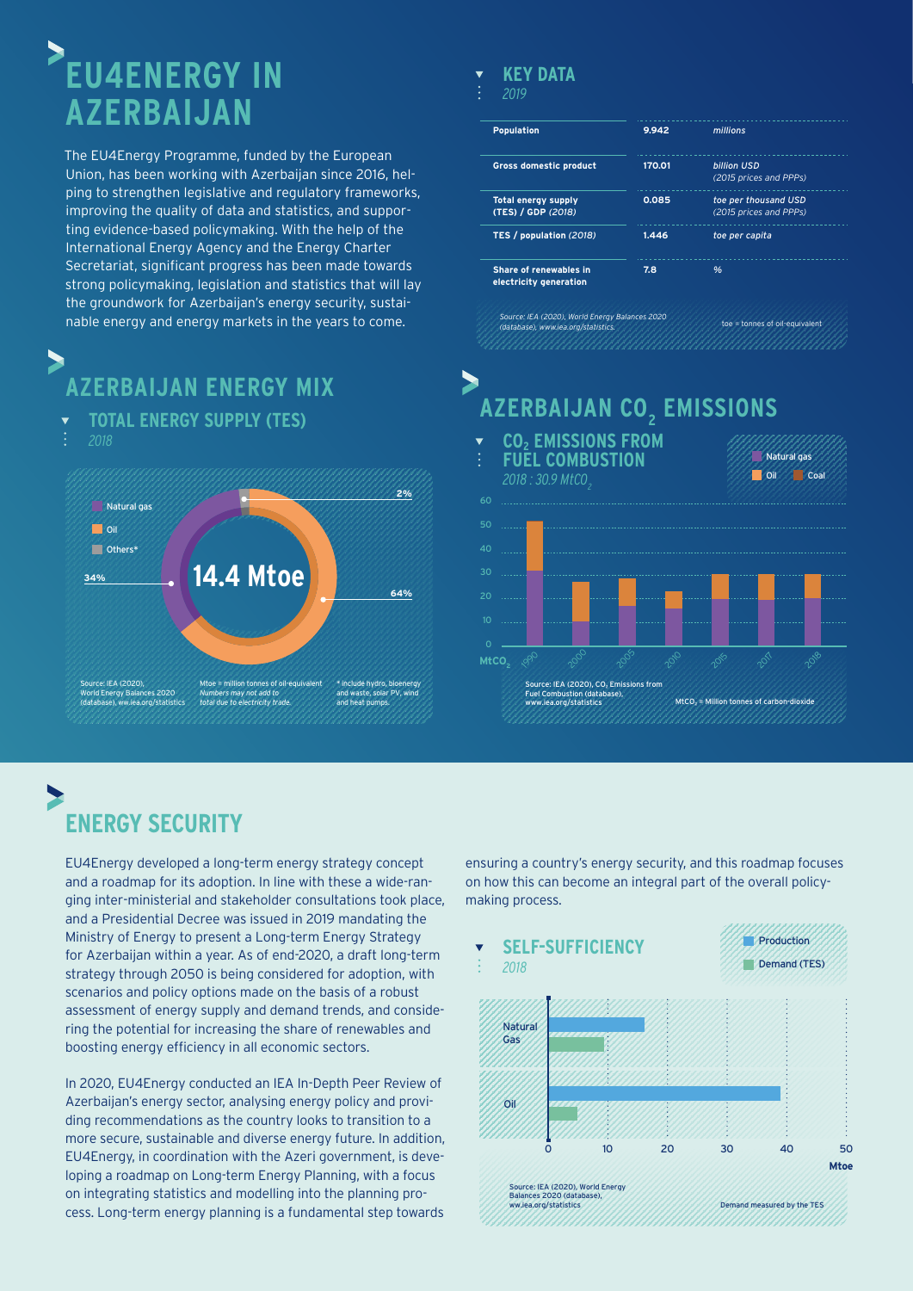# **EU4ENERGY IN AZERBAIJAN**

The EU4Energy Programme, funded by the European Union, has been working with Azerbaijan since 2016, helping to strengthen legislative and regulatory frameworks, improving the quality of data and statistics, and supporting evidence-based policymaking. With the help of the International Energy Agency and the Energy Charter Secretariat, significant progress has been made towards strong policymaking, legislation and statistics that will lay the groundwork for Azerbaijan's energy security, sustainable energy and energy markets in the years to come.

## **AZERBAIJAN ENERGY MIX**

**TOTAL ENERGY SUPPLY (TES)** *2018*



#### **KEY DATA**

#### *2019*

 $\blacktriangleright$ 

| <b>Population</b>                                | 9.942  | millions                                       |
|--------------------------------------------------|--------|------------------------------------------------|
| <b>Gross domestic product</b>                    | 170.01 | billion USD<br>(2015 prices and PPPs)          |
| <b>Total energy supply</b><br>(TES) / GDP (2018) | 0.085  | toe per thousand USD<br>(2015 prices and PPPs) |
| TES / population (2018)                          | 1.446  | toe per capita                                 |
| Share of renewables in<br>electricity generation | 7.8    | %                                              |

## **AZERBAIJAN CO2 EMISSIONS**



### **ENERGY SECURITY**

EU4Energy developed a long-term energy strategy concept and a roadmap for its adoption. In line with these a wide-ranging inter-ministerial and stakeholder consultations took place, and a Presidential Decree was issued in 2019 mandating the Ministry of Energy to present a Long-term Energy Strategy for Azerbaijan within a year. As of end-2020, a draft long-term strategy through 2050 is being considered for adoption, with scenarios and policy options made on the basis of a robust assessment of energy supply and demand trends, and considering the potential for increasing the share of renewables and boosting energy efficiency in all economic sectors.

In 2020, EU4Energy conducted an IEA In-Depth Peer Review of Azerbaijan's energy sector, analysing energy policy and providing recommendations as the country looks to transition to a more secure, sustainable and diverse energy future. In addition, EU4Energy, in coordination with the Azeri government, is developing a roadmap on Long-term Energy Planning, with a focus on integrating statistics and modelling into the planning process. Long-term energy planning is a fundamental step towards ensuring a country's energy security, and this roadmap focuses on how this can become an integral part of the overall policymaking process.